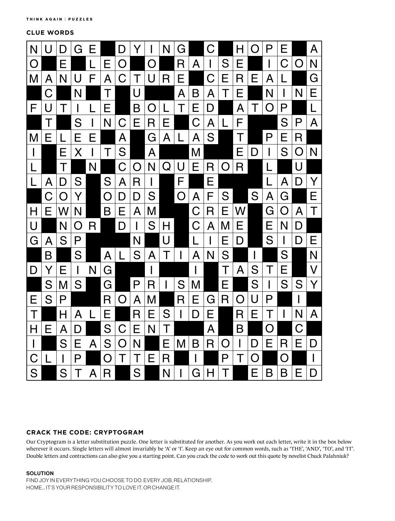**CLUE WORDS**



## **CRACK THE CODE: CRYPTOGRAM**

Our Cryptogram is a letter substitution puzzle. One letter is substituted for another. As you work out each letter, write it in the box below wherever it occurs. Single letters will almost invariably be 'A' or 'I'. Keep an eye out for common words, such as 'THE', 'AND', 'TO', and 'IT'. Double letters and contractions can also give you a starting point. Can you crack the code to work out this quote by novelist Chuck Palahniuk?

## **SOLUTION**

FIND JOY IN EVERYTHING YOU CHOOSE TO DO. EVERY JOB, RELATIONSHIP, HOME... IT'S YOUR RESPONSIBILITY TO LOVE IT, OR CHANGE IT.